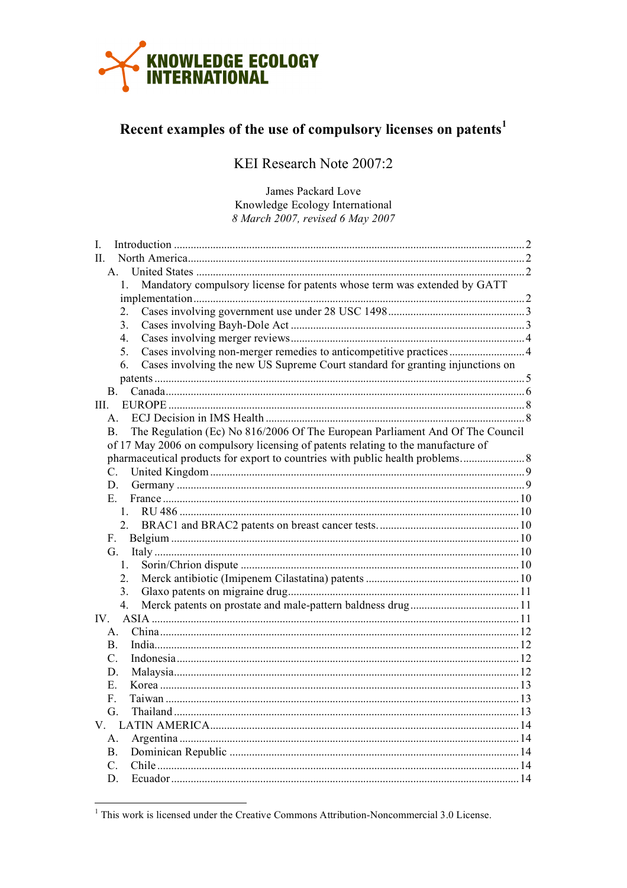

# Recent examples of the use of compulsory licenses on patents<sup>1</sup>

KEI Research Note 2007:2

James Packard Love Knowledge Ecology International 8 March 2007, revised 6 May 2007

| L                                                                                             |  |
|-----------------------------------------------------------------------------------------------|--|
| $\mathbf{H}$                                                                                  |  |
| $\mathbf{A}$                                                                                  |  |
| Mandatory compulsory license for patents whose term was extended by GATT<br>$1_{-}$           |  |
|                                                                                               |  |
| $2_{-}$                                                                                       |  |
| 3.                                                                                            |  |
| 4.                                                                                            |  |
| 5.                                                                                            |  |
| Cases involving the new US Supreme Court standard for granting injunctions on<br>6.           |  |
|                                                                                               |  |
| $\mathbf{B}$ .                                                                                |  |
|                                                                                               |  |
| A.                                                                                            |  |
| The Regulation (Ec) No 816/2006 Of The European Parliament And Of The Council<br>$\mathbf{B}$ |  |
| of 17 May 2006 on compulsory licensing of patents relating to the manufacture of              |  |
| pharmaceutical products for export to countries with public health problems                   |  |
| $\mathbf{C}$ .                                                                                |  |
| D.                                                                                            |  |
| $E -$                                                                                         |  |
| 1.                                                                                            |  |
| 2.                                                                                            |  |
| F.                                                                                            |  |
| G                                                                                             |  |
| 1.                                                                                            |  |
| $\overline{2}$ .                                                                              |  |
| 3.                                                                                            |  |
| $\overline{4}$                                                                                |  |
| IV.                                                                                           |  |
| $A_{-}$                                                                                       |  |
| <b>B.</b>                                                                                     |  |
| C.                                                                                            |  |
| D.                                                                                            |  |
| Е.                                                                                            |  |
| F.                                                                                            |  |
| G.                                                                                            |  |
| V —                                                                                           |  |
| А.                                                                                            |  |
| B.                                                                                            |  |
| $\overline{C}$ .                                                                              |  |
| D                                                                                             |  |

 $1$  This work is licensed under the Creative Commons Attribution-Noncommercial 3.0 License.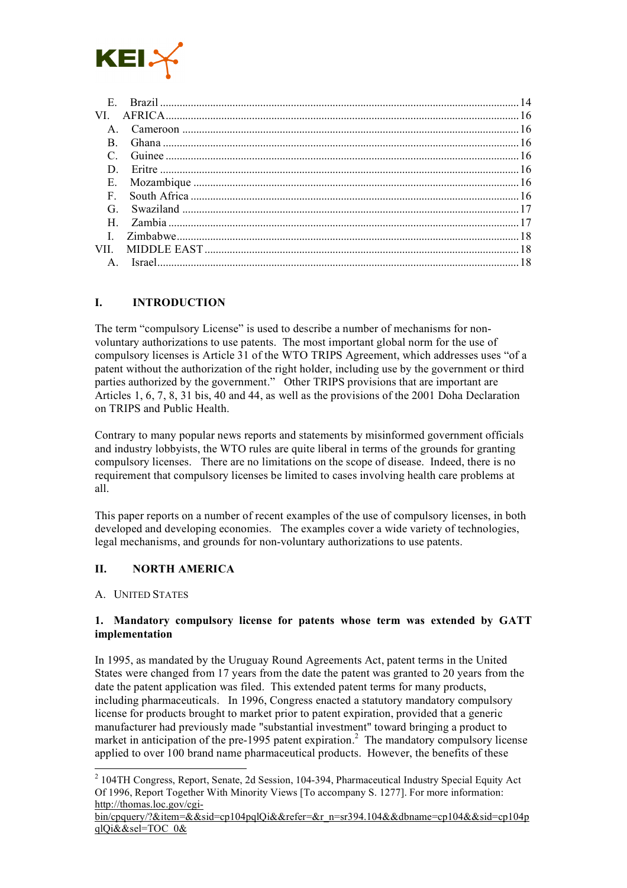

| E.           |  |
|--------------|--|
| VI.          |  |
|              |  |
|              |  |
|              |  |
|              |  |
| E.           |  |
| F            |  |
| G            |  |
|              |  |
| $\mathbf{I}$ |  |
| VII -        |  |
|              |  |

# **I. INTRODUCTION**

The term "compulsory License" is used to describe a number of mechanisms for nonvoluntary authorizations to use patents. The most important global norm for the use of compulsory licenses is Article 31 of the WTO TRIPS Agreement, which addresses uses "of a patent without the authorization of the right holder, including use by the government or third parties authorized by the government." Other TRIPS provisions that are important are Articles 1, 6, 7, 8, 31 bis, 40 and 44, as well as the provisions of the 2001 Doha Declaration on TRIPS and Public Health.

Contrary to many popular news reports and statements by misinformed government officials and industry lobbyists, the WTO rules are quite liberal in terms of the grounds for granting compulsory licenses. There are no limitations on the scope of disease. Indeed, there is no requirement that compulsory licenses be limited to cases involving health care problems at all.

This paper reports on a number of recent examples of the use of compulsory licenses, in both developed and developing economies. The examples cover a wide variety of technologies, legal mechanisms, and grounds for non-voluntary authorizations to use patents.

## **II. NORTH AMERICA**

#### A. UNITED STATES

#### **1. Mandatory compulsory license for patents whose term was extended by GATT implementation**

In 1995, as mandated by the Uruguay Round Agreements Act, patent terms in the United States were changed from 17 years from the date the patent was granted to 20 years from the date the patent application was filed. This extended patent terms for many products, including pharmaceuticals. In 1996, Congress enacted a statutory mandatory compulsory license for products brought to market prior to patent expiration, provided that a generic manufacturer had previously made "substantial investment" toward bringing a product to market in anticipation of the pre-1995 patent expiration.<sup>2</sup> The mandatory compulsory license applied to over 100 brand name pharmaceutical products. However, the benefits of these

 <sup>2</sup> 104TH Congress, Report, Senate, 2d Session, 104-394, Pharmaceutical Industry Special Equity Act Of 1996, Report Together With Minority Views [To accompany S. 1277]. For more information: http://thomas.loc.gov/cgi-

bin/cpquery/?&item=&&sid=cp104pqlQi&&refer=&r\_n=sr394.104&&dbname=cp104&&sid=cp104p qlQi&&sel=TOC\_0&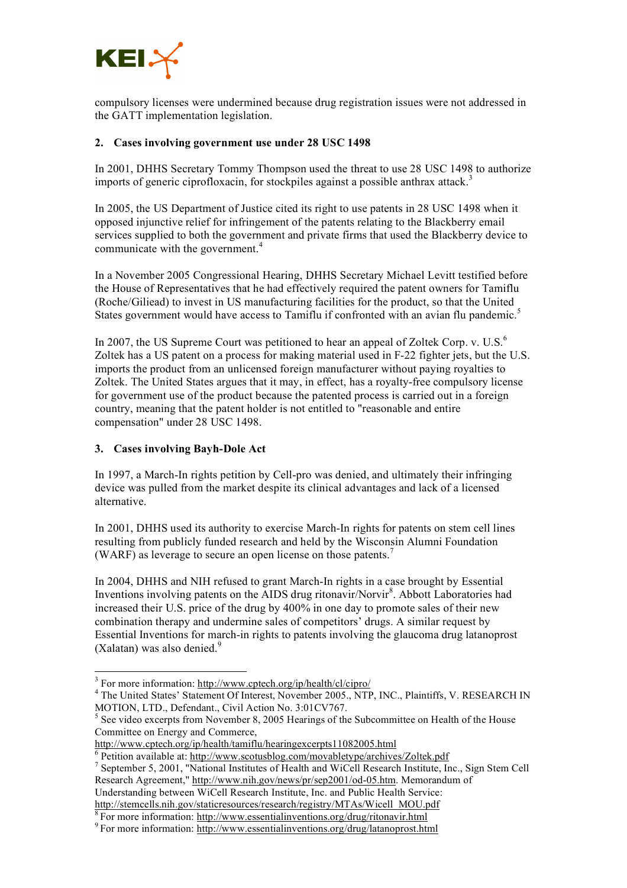

compulsory licenses were undermined because drug registration issues were not addressed in the GATT implementation legislation.

## **2. Cases involving government use under 28 USC 1498**

In 2001, DHHS Secretary Tommy Thompson used the threat to use 28 USC 1498 to authorize imports of generic ciprofloxacin, for stockpiles against a possible anthrax attack.<sup>3</sup>

In 2005, the US Department of Justice cited its right to use patents in 28 USC 1498 when it opposed injunctive relief for infringement of the patents relating to the Blackberry email services supplied to both the government and private firms that used the Blackberry device to communicate with the government. 4

In a November 2005 Congressional Hearing, DHHS Secretary Michael Levitt testified before the House of Representatives that he had effectively required the patent owners for Tamiflu (Roche/Giliead) to invest in US manufacturing facilities for the product, so that the United States government would have access to Tamiflu if confronted with an avian flu pandemic.<sup>5</sup>

In 2007, the US Supreme Court was petitioned to hear an appeal of Zoltek Corp. v. U.S. $<sup>6</sup>$ </sup> Zoltek has a US patent on a process for making material used in F-22 fighter jets, but the U.S. imports the product from an unlicensed foreign manufacturer without paying royalties to Zoltek. The United States argues that it may, in effect, has a royalty-free compulsory license for government use of the product because the patented process is carried out in a foreign country, meaning that the patent holder is not entitled to "reasonable and entire compensation" under 28 USC 1498.

## **3. Cases involving Bayh-Dole Act**

In 1997, a March-In rights petition by Cell-pro was denied, and ultimately their infringing device was pulled from the market despite its clinical advantages and lack of a licensed alternative.

In 2001, DHHS used its authority to exercise March-In rights for patents on stem cell lines resulting from publicly funded research and held by the Wisconsin Alumni Foundation (WARF) as leverage to secure an open license on those patents. 7

In 2004, DHHS and NIH refused to grant March-In rights in a case brought by Essential Inventions involving patents on the AIDS drug ritonavir/Norvir 8 . Abbott Laboratories had increased their U.S. price of the drug by 400% in one day to promote sales of their new combination therapy and undermine sales of competitors' drugs. A similar request by Essential Inventions for march-in rights to patents involving the glaucoma drug latanoprost (Xalatan) was also denied.<sup>9</sup>

<sup>&</sup>lt;sup>3</sup> For more information: http://www.cptech.org/ip/health/cl/cipro/<br><sup>4</sup> The United States' Statement Of Interest, November 2005., NTP, INC., Plaintiffs, V. RESEARCH IN MOTION, LTD., Defendant., Civil Action No. 3:01 CV767.<br><sup>5</sup> See video excerpts from November 8, 2005 Hearings of the Subcommittee on Health of the House

Committee on Energy and Commerce,<br>http://www.cptech.org/ip/health/tamiflu/hearingexcerpts11082005.html

 $\frac{6}{1}$  Petition available at: http://www.scotusblog.com/movabletype/archives/Zoltek.pdf<br>  $\frac{7}{1}$  September 5, 2001, "National Institutes of Health and WiCell Research Institute, Inc., Sign Stem Cell Research Agreement," http://www.nih.gov/news/pr/sep2001/od-05.htm. Memorandum of Understanding between WiCell Research Institute, Inc. and Public Health Service:

http://stemcells.nih.gov/staticresources/research/registry/MTAs/Wicell\_MOU.pdf  $\frac{8}{10}$  For more information: http://www.essentialinventions.org/drug/ritonavir.html  $\frac{9}{10}$  For more information: http://www.essentiali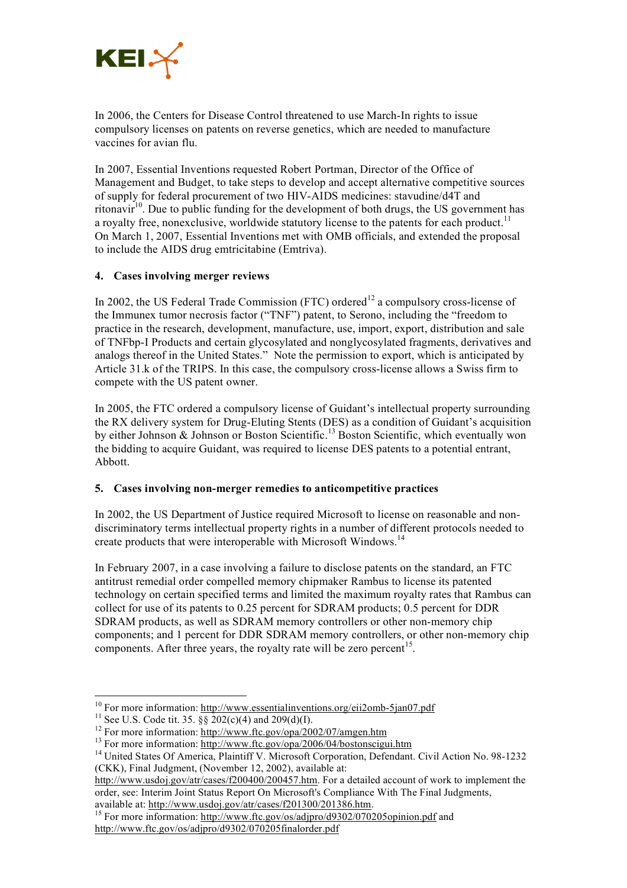

In 2006, the Centers for Disease Control threatened to use March-In rights to issue compulsory licenses on patents on reverse genetics, which are needed to manufacture vaccines for avian flu.

In 2007, Essential Inventions requested Robert Portman, Director of the Office of Management and Budget, to take steps to develop and accept alternative competitive sources of supply for federal procurement of two HIV-AIDS medicines: stavudine/d4T and ritonavir<sup>10</sup>. Due to public funding for the development of both drugs, the US government has a royalty free, nonexclusive, worldwide statutory license to the patents for each product.<sup>11</sup> On March 1, 2007, Essential Inventions met with OMB officials, and extended the proposal to include the AIDS drug emtricitabine (Emtriva).

## **4. Cases involving merger reviews**

In 2002, the US Federal Trade Commission (FTC) ordered<sup>12</sup> a compulsory cross-license of the Immunex tumor necrosis factor ("TNF") patent, to Serono, including the "freedom to practice in the research, development, manufacture, use, import, export, distribution and sale of TNFbp-I Products and certain glycosylated and nonglycosylated fragments, derivatives and analogs thereof in the United States." Note the permission to export, which is anticipated by Article 31.k of the TRIPS. In this case, the compulsory cross-license allows a Swiss firm to compete with the US patent owner.

In 2005, the FTC ordered a compulsory license of Guidant's intellectual property surrounding the RX delivery system for Drug-Eluting Stents (DES) as a condition of Guidant's acquisition by either Johnson & Johnson or Boston Scientific.<sup>13</sup> Boston Scientific, which eventually won the bidding to acquire Guidant, was required to license DES patents to a potential entrant, Abbott.

## **5. Cases involving non-merger remedies to anticompetitive practices**

In 2002, the US Department of Justice required Microsoft to license on reasonable and nondiscriminatory terms intellectual property rights in a number of different protocols needed to create products that were interoperable with Microsoft Windows.<sup>14</sup>

In February 2007, in a case involving a failure to disclose patents on the standard, an FTC antitrust remedial order compelled memory chipmaker Rambus to license its patented technology on certain specified terms and limited the maximum royalty rates that Rambus can collect for use of its patents to 0.25 percent for SDRAM products; 0.5 percent for DDR SDRAM products, as well as SDRAM memory controllers or other non-memory chip components; and 1 percent for DDR SDRAM memory controllers, or other non-memory chip components. After three years, the royalty rate will be zero percent<sup>15</sup>.

<sup>&</sup>lt;sup>10</sup> For more information: http://www.essentialinventions.org/eii2omb-5jan07.pdf<br><sup>11</sup> See U.S. Code tit. 35. §§ 202(c)(4) and 209(d)(I).<br><sup>12</sup> For more information: http://www.ftc.gov/opa/2002/07/amgen.htm<br><sup>13</sup> For more in

<sup>(</sup>CKK), Final Judgment, (November 12, 2002), available at:

http://www.usdoj.gov/atr/cases/f200400/200457.htm. For a detailed account of work to implement the order, see: Interim Joint Status Report On Microsoft's Compliance With The Final Judgments, available at: http://www.usdoj.gov/atr/cases/f201300/201386.htm.

<sup>&</sup>lt;sup>15</sup> For more information: http://www.ftc.gov/os/adjpro/d9302/070205opinion.pdf and http://www.ftc.gov/os/adjpro/d9302/070205finalorder.pdf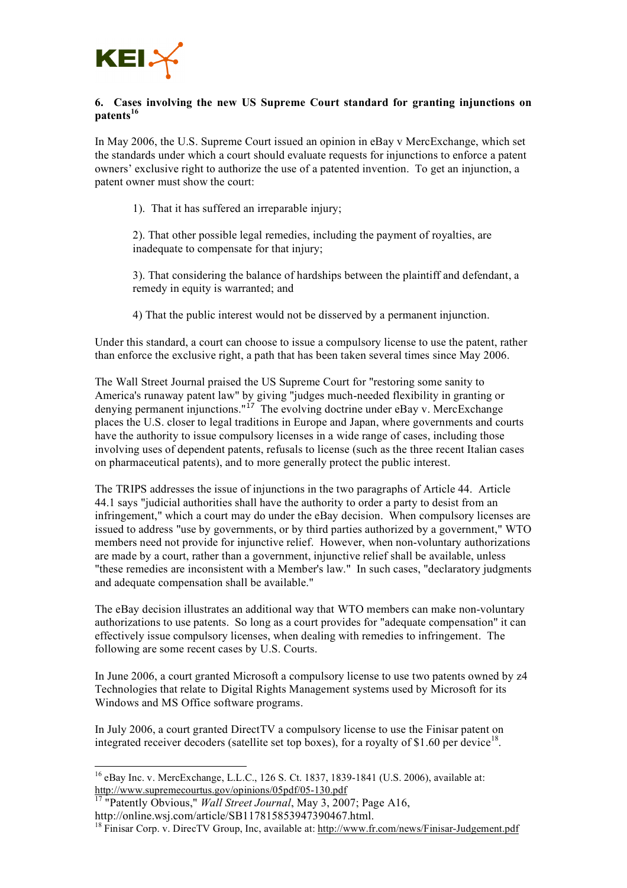

## **6. Cases involving the new US Supreme Court standard for granting injunctions on patents<sup>16</sup>**

In May 2006, the U.S. Supreme Court issued an opinion in eBay v MercExchange, which set the standards under which a court should evaluate requests for injunctions to enforce a patent owners' exclusive right to authorize the use of a patented invention. To get an injunction, a patent owner must show the court:

1). That it has suffered an irreparable injury;

2). That other possible legal remedies, including the payment of royalties, are inadequate to compensate for that injury;

3). That considering the balance of hardships between the plaintiff and defendant, a remedy in equity is warranted; and

4) That the public interest would not be disserved by a permanent injunction.

Under this standard, a court can choose to issue a compulsory license to use the patent, rather than enforce the exclusive right, a path that has been taken several times since May 2006.

The Wall Street Journal praised the US Supreme Court for "restoring some sanity to America's runaway patent law" by giving "judges much-needed flexibility in granting or denying permanent injunctions."<sup>17</sup> The evolving doctrine under eBay v. MercExchange places the U.S. closer to legal traditions in Europe and Japan, where governments and courts have the authority to issue compulsory licenses in a wide range of cases, including those involving uses of dependent patents, refusals to license (such as the three recent Italian cases on pharmaceutical patents), and to more generally protect the public interest.

The TRIPS addresses the issue of injunctions in the two paragraphs of Article 44. Article 44.1 says "judicial authorities shall have the authority to order a party to desist from an infringement," which a court may do under the eBay decision. When compulsory licenses are issued to address "use by governments, or by third parties authorized by a government," WTO members need not provide for injunctive relief. However, when non-voluntary authorizations are made by a court, rather than a government, injunctive relief shall be available, unless "these remedies are inconsistent with a Member's law." In such cases, "declaratory judgments and adequate compensation shall be available."

The eBay decision illustrates an additional way that WTO members can make non-voluntary authorizations to use patents. So long as a court provides for "adequate compensation" it can effectively issue compulsory licenses, when dealing with remedies to infringement. The following are some recent cases by U.S. Courts.

In June 2006, a court granted Microsoft a compulsory license to use two patents owned by z4 Technologies that relate to Digital Rights Management systems used by Microsoft for its Windows and MS Office software programs.

In July 2006, a court granted DirectTV a compulsory license to use the Finisar patent on integrated receiver decoders (satellite set top boxes), for a royalty of \$1.60 per device<sup>18</sup>.

 <sup>16</sup> eBay Inc. v. MercExchange, L.L.C., <sup>126</sup> S. Ct. 1837, 1839-1841 (U.S. 2006), available at: http://www.supremecourtus.gov/opinions/05pdf/05-130.pdf

<sup>&</sup>lt;sup>17</sup> "Patently Obvious," *Wall Street Journal*, May 3, 2007; Page A16, http://online.wsi.com/article/SB117815853947390467.html.

<sup>&</sup>lt;sup>18</sup> Finisar Corp. v. DirecTV Group, Inc, available at: http://www.fr.com/news/Finisar-Judgement.pdf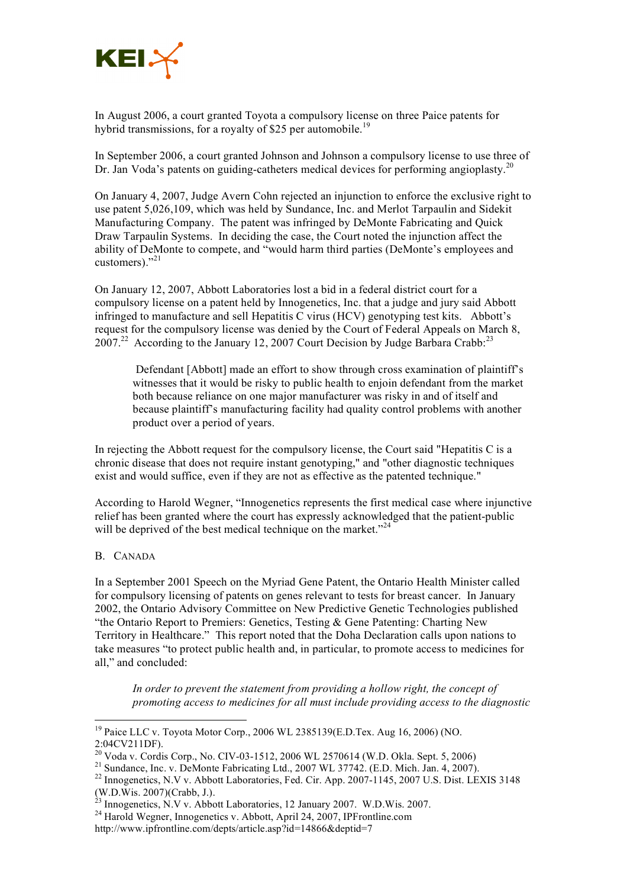

In August 2006, a court granted Toyota a compulsory license on three Paice patents for hybrid transmissions, for a royalty of \$25 per automobile.<sup>19</sup>

In September 2006, a court granted Johnson and Johnson a compulsory license to use three of Dr. Jan Voda's patents on guiding-catheters medical devices for performing angioplasty.<sup>20</sup>

On January 4, 2007, Judge Avern Cohn rejected an injunction to enforce the exclusive right to use patent 5,026,109, which was held by Sundance, Inc. and Merlot Tarpaulin and Sidekit Manufacturing Company. The patent was infringed by DeMonte Fabricating and Quick Draw Tarpaulin Systems. In deciding the case, the Court noted the injunction affect the ability of DeMonte to compete, and "would harm third parties (DeMonte's employees and customers)."<sup>21</sup>

On January 12, 2007, Abbott Laboratories lost a bid in a federal district court for a compulsory license on a patent held by Innogenetics, Inc. that a judge and jury said Abbott infringed to manufacture and sell Hepatitis C virus (HCV) genotyping test kits. Abbott's request for the compulsory license was denied by the Court of Federal Appeals on March 8, 2007.<sup>22</sup> According to the January 12, 2007 Court Decision by Judge Barbara Crabb.<sup>23</sup>

Defendant [Abbott] made an effort to show through cross examination of plaintiff's witnesses that it would be risky to public health to enjoin defendant from the market both because reliance on one major manufacturer was risky in and of itself and because plaintiff's manufacturing facility had quality control problems with another product over a period of years.

In rejecting the Abbott request for the compulsory license, the Court said "Hepatitis C is a chronic disease that does not require instant genotyping," and "other diagnostic techniques exist and would suffice, even if they are not as effective as the patented technique."

According to Harold Wegner, "Innogenetics represents the first medical case where injunctive relief has been granted where the court has expressly acknowledged that the patient-public will be deprived of the best medical technique on the market."<sup>24</sup>

#### B. CANADA

In a September 2001 Speech on the Myriad Gene Patent, the Ontario Health Minister called for compulsory licensing of patents on genes relevant to tests for breast cancer. In January 2002, the Ontario Advisory Committee on New Predictive Genetic Technologies published "the Ontario Report to Premiers: Genetics, Testing & Gene Patenting: Charting New Territory in Healthcare." This report noted that the Doha Declaration calls upon nations to take measures "to protect public health and, in particular, to promote access to medicines for all," and concluded:

*In order to prevent the statement from providing a hollow right, the concept of promoting access to medicines for all must include providing access to the diagnostic* 

<sup>&</sup>lt;sup>19</sup> Paice LLC v. Toyota Motor Corp., 2006 WL 2385139(E.D.Tex. Aug 16, 2006) (NO. 2:04CV211DF).

<sup>&</sup>lt;sup>20</sup> Voda v. Cordis Corp., No. CIV-03-1512, 2006 WL 2570614 (W.D. Okla. Sept. 5, 2006)<br><sup>21</sup> Sundance, Inc. v. DeMonte Fabricating Ltd., 2007 WL 37742. (E.D. Mich. Jan. 4, 2007).<br><sup>22</sup> Innogenetics, N.V v. Abbott Laboratorie

<sup>(</sup>W.D.Wis. 2007)(Crabb, J.). <sup>23</sup> Innogenetics, N.V v. Abbott Laboratories, <sup>12</sup> January 2007. W.D.Wis. 2007. <sup>24</sup> Harold Wegner, Innogenetics v. Abbott, April 24, 2007, IPFrontline.com

http://www.ipfrontline.com/depts/article.asp?id=14866&deptid=7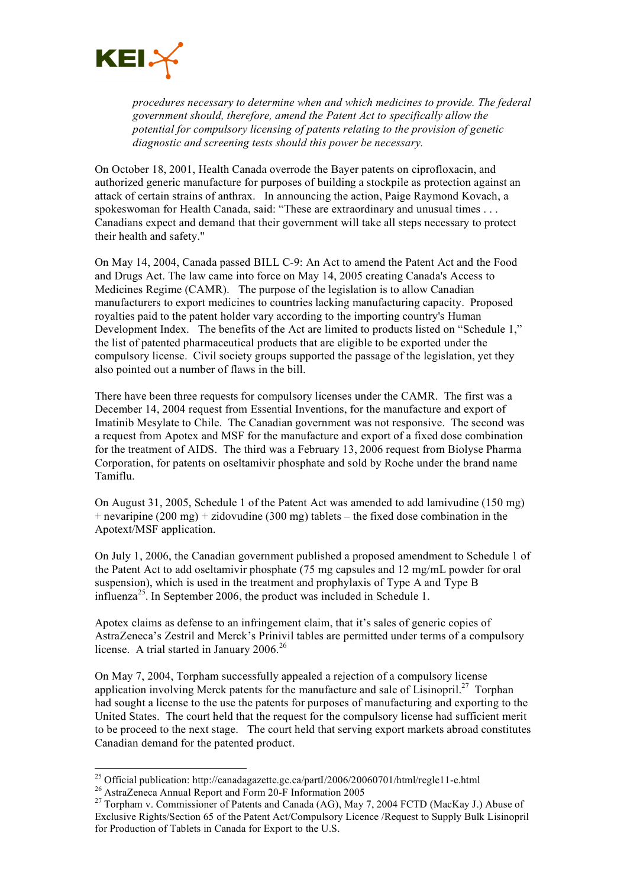

*procedures necessary to determine when and which medicines to provide. The federal government should, therefore, amend the Patent Act to specifically allow the potential for compulsory licensing of patents relating to the provision of genetic diagnostic and screening tests should this power be necessary.*

On October 18, 2001, Health Canada overrode the Bayer patents on ciprofloxacin, and authorized generic manufacture for purposes of building a stockpile as protection against an attack of certain strains of anthrax. In announcing the action, Paige Raymond Kovach, a spokeswoman for Health Canada, said: "These are extraordinary and unusual times . . . Canadians expect and demand that their government will take all steps necessary to protect their health and safety.''

On May 14, 2004, Canada passed BILL C-9: An Act to amend the Patent Act and the Food and Drugs Act. The law came into force on May 14, 2005 creating Canada's Access to Medicines Regime (CAMR). The purpose of the legislation is to allow Canadian manufacturers to export medicines to countries lacking manufacturing capacity. Proposed royalties paid to the patent holder vary according to the importing country's Human Development Index. The benefits of the Act are limited to products listed on "Schedule 1," the list of patented pharmaceutical products that are eligible to be exported under the compulsory license. Civil society groups supported the passage of the legislation, yet they also pointed out a number of flaws in the bill.

There have been three requests for compulsory licenses under the CAMR. The first was a December 14, 2004 request from Essential Inventions, for the manufacture and export of Imatinib Mesylate to Chile. The Canadian government was not responsive. The second was a request from Apotex and MSF for the manufacture and export of a fixed dose combination for the treatment of AIDS. The third was a February 13, 2006 request from Biolyse Pharma Corporation, for patents on oseltamivir phosphate and sold by Roche under the brand name Tamiflu.

On August 31, 2005, Schedule 1 of the Patent Act was amended to add lamivudine (150 mg)  $+$  nevaripine (200 mg)  $+$  zidovudine (300 mg) tablets – the fixed dose combination in the Apotext/MSF application.

On July 1, 2006, the Canadian government published a proposed amendment to Schedule 1 of the Patent Act to add oseltamivir phosphate (75 mg capsules and 12 mg/mL powder for oral suspension), which is used in the treatment and prophylaxis of Type A and Type B influenza<sup>25</sup>. In September 2006, the product was included in Schedule 1.

Apotex claims as defense to an infringement claim, that it's sales of generic copies of AstraZeneca's Zestril and Merck's Prinivil tables are permitted under terms of a compulsory license. A trial started in January 2006.<sup>26</sup>

On May 7, 2004, Torpham successfully appealed a rejection of a compulsory license application involving Merck patents for the manufacture and sale of Lisinopril.<sup>27</sup> Torphan had sought a license to the use the patents for purposes of manufacturing and exporting to the United States. The court held that the request for the compulsory license had sufficient merit to be proceed to the next stage. The court held that serving export markets abroad constitutes Canadian demand for the patented product.

<sup>&</sup>lt;sup>25</sup> Official publication: http://canadagazette.gc.ca/partI/2006/20060701/html/regle11-e.html<br><sup>26</sup> AstraZeneca Annual Report and Form 20-F Information 2005<br><sup>27</sup> Torpham v. Commissioner of Patents and Canada (AG), May 7, 2

Exclusive Rights/Section 65 of the Patent Act/Compulsory Licence /Request to Supply Bulk Lisinopril for Production of Tablets in Canada for Export to the U.S.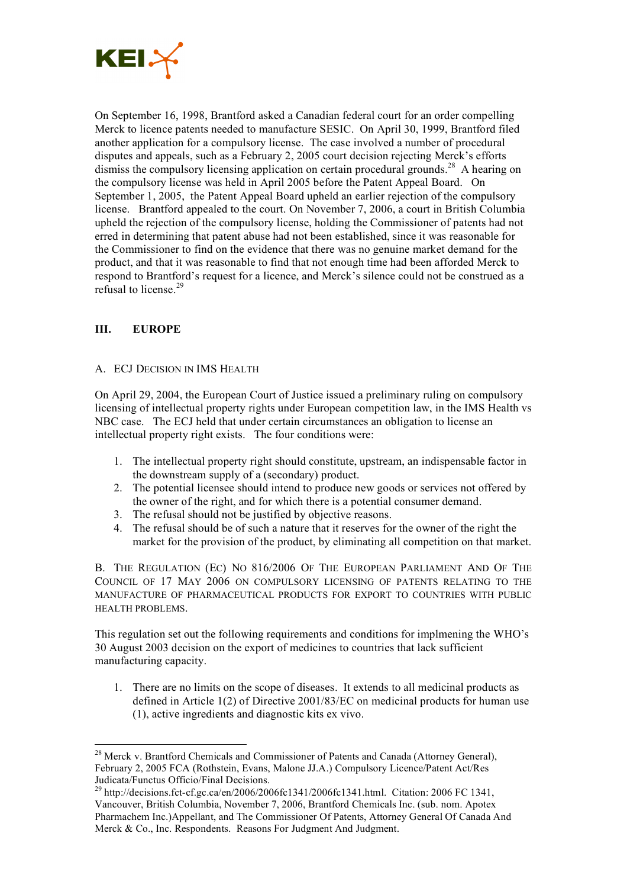

On September 16, 1998, Brantford asked a Canadian federal court for an order compelling Merck to licence patents needed to manufacture SESIC. On April 30, 1999, Brantford filed another application for a compulsory license. The case involved a number of procedural disputes and appeals, such as a February 2, 2005 court decision rejecting Merck's efforts dismiss the compulsory licensing application on certain procedural grounds.<sup>28</sup> A hearing on the compulsory license was held in April 2005 before the Patent Appeal Board. On September 1, 2005, the Patent Appeal Board upheld an earlier rejection of the compulsory license. Brantford appealed to the court. On November 7, 2006, a court in British Columbia upheld the rejection of the compulsory license, holding the Commissioner of patents had not erred in determining that patent abuse had not been established, since it was reasonable for the Commissioner to find on the evidence that there was no genuine market demand for the product, and that it was reasonable to find that not enough time had been afforded Merck to respond to Brantford's request for a licence, and Merck's silence could not be construed as a refusal to license.<sup>29</sup>

# **III. EUROPE**

## A. ECJ DECISION IN IMS HEALTH

On April 29, 2004, the European Court of Justice issued a preliminary ruling on compulsory licensing of intellectual property rights under European competition law, in the IMS Health vs NBC case. The ECJ held that under certain circumstances an obligation to license an intellectual property right exists. The four conditions were:

- 1. The intellectual property right should constitute, upstream, an indispensable factor in the downstream supply of a (secondary) product.
- 2. The potential licensee should intend to produce new goods or services not offered by the owner of the right, and for which there is a potential consumer demand.
- 3. The refusal should not be justified by objective reasons.
- 4. The refusal should be of such a nature that it reserves for the owner of the right the market for the provision of the product, by eliminating all competition on that market.

B. THE REGULATION (EC) NO 816/2006 OF THE EUROPEAN PARLIAMENT AND OF THE COUNCIL OF 17 MAY 2006 ON COMPULSORY LICENSING OF PATENTS RELATING TO THE MANUFACTURE OF PHARMACEUTICAL PRODUCTS FOR EXPORT TO COUNTRIES WITH PUBLIC HEALTH PROBLEMS.

This regulation set out the following requirements and conditions for implmening the WHO's 30 August 2003 decision on the export of medicines to countries that lack sufficient manufacturing capacity.

1. There are no limits on the scope of diseases. It extends to all medicinal products as defined in Article 1(2) of Directive 2001/83/EC on medicinal products for human use (1), active ingredients and diagnostic kits ex vivo.

<sup>&</sup>lt;sup>28</sup> Merck v. Brantford Chemicals and Commissioner of Patents and Canada (Attorney General), February 2, 2005 FCA (Rothstein, Evans, Malone JJ.A.) Compulsory Licence/Patent Act/Res

 $^{29}$  http://decisions.fct-cf.gc.ca/en/2006/2006fc1341/2006fc1341.html. Citation: 2006 FC 1341, Vancouver, British Columbia, November 7, 2006, Brantford Chemicals Inc. (sub. nom. Apotex Pharmachem Inc.)Appellant, and The Commissioner Of Patents, Attorney General Of Canada And Merck & Co., Inc. Respondents. Reasons For Judgment And Judgment.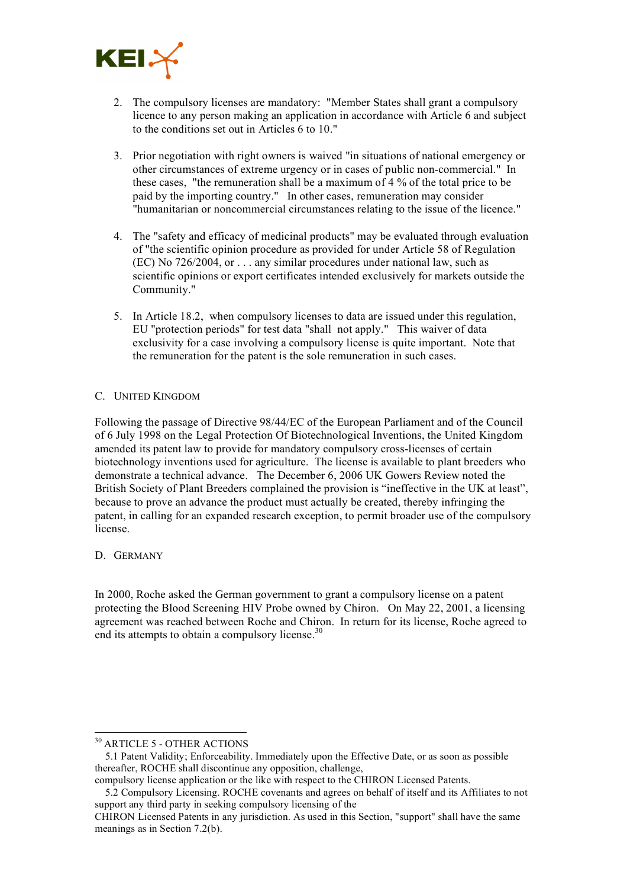

- 2. The compulsory licenses are mandatory: "Member States shall grant a compulsory licence to any person making an application in accordance with Article 6 and subject to the conditions set out in Articles 6 to 10."
- 3. Prior negotiation with right owners is waived "in situations of national emergency or other circumstances of extreme urgency or in cases of public non-commercial." In these cases, "the remuneration shall be a maximum of 4 % of the total price to be paid by the importing country." In other cases, remuneration may consider "humanitarian or noncommercial circumstances relating to the issue of the licence."
- 4. The "safety and efficacy of medicinal products" may be evaluated through evaluation of "the scientific opinion procedure as provided for under Article 58 of Regulation (EC) No 726/2004, or . . . any similar procedures under national law, such as scientific opinions or export certificates intended exclusively for markets outside the Community."
- 5. In Article 18.2, when compulsory licenses to data are issued under this regulation, EU "protection periods" for test data "shall not apply." This waiver of data exclusivity for a case involving a compulsory license is quite important. Note that the remuneration for the patent is the sole remuneration in such cases.

## C. UNITED KINGDOM

Following the passage of Directive 98/44/EC of the European Parliament and of the Council of 6 July 1998 on the Legal Protection Of Biotechnological Inventions, the United Kingdom amended its patent law to provide for mandatory compulsory cross-licenses of certain biotechnology inventions used for agriculture. The license is available to plant breeders who demonstrate a technical advance. The December 6, 2006 UK Gowers Review noted the British Society of Plant Breeders complained the provision is "ineffective in the UK at least", because to prove an advance the product must actually be created, thereby infringing the patent, in calling for an expanded research exception, to permit broader use of the compulsory license.

#### D. GERMANY

In 2000, Roche asked the German government to grant a compulsory license on a patent protecting the Blood Screening HIV Probe owned by Chiron. On May 22, 2001, a licensing agreement was reached between Roche and Chiron. In return for its license, Roche agreed to end its attempts to obtain a compulsory license.<sup>30</sup>

 <sup>30</sup> ARTICLE <sup>5</sup> - OTHER ACTIONS

<sup>5.1</sup> Patent Validity; Enforceability. Immediately upon the Effective Date, or as soon as possible thereafter, ROCHE shall discontinue any opposition, challenge,

compulsory license application or the like with respect to the CHIRON Licensed Patents.

<sup>5.2</sup> Compulsory Licensing. ROCHE covenants and agrees on behalf of itself and its Affiliates to not support any third party in seeking compulsory licensing of the

CHIRON Licensed Patents in any jurisdiction. As used in this Section, "support" shall have the same meanings as in Section 7.2(b).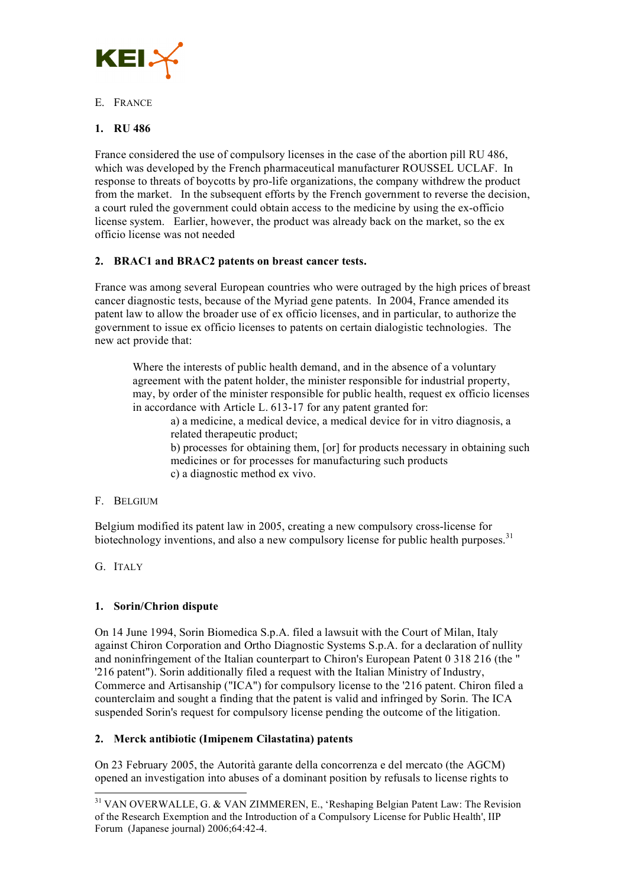

## E. FRANCE

## **1. RU 486**

France considered the use of compulsory licenses in the case of the abortion pill RU 486, which was developed by the French pharmaceutical manufacturer ROUSSEL UCLAF. In response to threats of boycotts by pro-life organizations, the company withdrew the product from the market. In the subsequent efforts by the French government to reverse the decision, a court ruled the government could obtain access to the medicine by using the ex-officio license system. Earlier, however, the product was already back on the market, so the ex officio license was not needed

## **2. BRAC1 and BRAC2 patents on breast cancer tests.**

France was among several European countries who were outraged by the high prices of breast cancer diagnostic tests, because of the Myriad gene patents. In 2004, France amended its patent law to allow the broader use of ex officio licenses, and in particular, to authorize the government to issue ex officio licenses to patents on certain dialogistic technologies. The new act provide that:

Where the interests of public health demand, and in the absence of a voluntary agreement with the patent holder, the minister responsible for industrial property, may, by order of the minister responsible for public health, request ex officio licenses in accordance with Article L. 613-17 for any patent granted for:

a) a medicine, a medical device, a medical device for in vitro diagnosis, a related therapeutic product;

b) processes for obtaining them, [or] for products necessary in obtaining such medicines or for processes for manufacturing such products c) a diagnostic method ex vivo.

#### F. BELGIUM

Belgium modified its patent law in 2005, creating a new compulsory cross-license for biotechnology inventions, and also a new compulsory license for public health purposes.<sup>31</sup>

G. ITALY

## **1. Sorin/Chrion dispute**

On 14 June 1994, Sorin Biomedica S.p.A. filed a lawsuit with the Court of Milan, Italy against Chiron Corporation and Ortho Diagnostic Systems S.p.A. for a declaration of nullity and noninfringement of the Italian counterpart to Chiron's European Patent 0 318 216 (the " '216 patent"). Sorin additionally filed a request with the Italian Ministry of Industry, Commerce and Artisanship ("ICA") for compulsory license to the '216 patent. Chiron filed a counterclaim and sought a finding that the patent is valid and infringed by Sorin. The ICA suspended Sorin's request for compulsory license pending the outcome of the litigation.

## **2. Merck antibiotic (Imipenem Cilastatina) patents**

On 23 February 2005, the Autorità garante della concorrenza e del mercato (the AGCM) opened an investigation into abuses of a dominant position by refusals to license rights to

<sup>&</sup>lt;sup>31</sup> VAN OVERWALLE, G. & VAN ZIMMEREN, E., 'Reshaping Belgian Patent Law: The Revision of the Research Exemption and the Introduction of a Compulsory License for Public Health', IIP Forum (Japanese journal) 2006;64:42-4.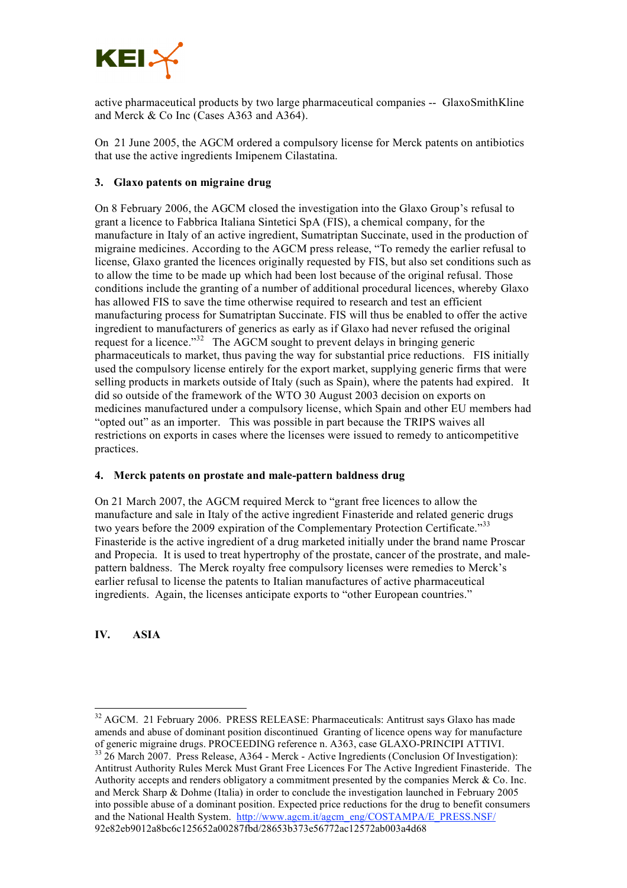

active pharmaceutical products by two large pharmaceutical companies -- GlaxoSmithKline and Merck & Co Inc (Cases A363 and A364).

On 21 June 2005, the AGCM ordered a compulsory license for Merck patents on antibiotics that use the active ingredients Imipenem Cilastatina.

## **3. Glaxo patents on migraine drug**

On 8 February 2006, the AGCM closed the investigation into the Glaxo Group's refusal to grant a licence to Fabbrica Italiana Sintetici SpA (FIS), a chemical company, for the manufacture in Italy of an active ingredient, Sumatriptan Succinate, used in the production of migraine medicines. According to the AGCM press release, "To remedy the earlier refusal to license, Glaxo granted the licences originally requested by FIS, but also set conditions such as to allow the time to be made up which had been lost because of the original refusal. Those conditions include the granting of a number of additional procedural licences, whereby Glaxo has allowed FIS to save the time otherwise required to research and test an efficient manufacturing process for Sumatriptan Succinate. FIS will thus be enabled to offer the active ingredient to manufacturers of generics as early as if Glaxo had never refused the original request for a licence."<sup>32</sup> The AGCM sought to prevent delays in bringing generic pharmaceuticals to market, thus paving the way for substantial price reductions. FIS initially used the compulsory license entirely for the export market, supplying generic firms that were selling products in markets outside of Italy (such as Spain), where the patents had expired. It did so outside of the framework of the WTO 30 August 2003 decision on exports on medicines manufactured under a compulsory license, which Spain and other EU members had "opted out" as an importer. This was possible in part because the TRIPS waives all restrictions on exports in cases where the licenses were issued to remedy to anticompetitive practices.

#### **4. Merck patents on prostate and male-pattern baldness drug**

On 21 March 2007, the AGCM required Merck to "grant free licences to allow the manufacture and sale in Italy of the active ingredient Finasteride and related generic drugs two years before the 2009 expiration of the Complementary Protection Certificate."<sup>33</sup> Finasteride is the active ingredient of a drug marketed initially under the brand name Proscar and Propecia. It is used to treat hypertrophy of the prostate, cancer of the prostrate, and malepattern baldness. The Merck royalty free compulsory licenses were remedies to Merck's earlier refusal to license the patents to Italian manufactures of active pharmaceutical ingredients. Again, the licenses anticipate exports to "other European countries."

**IV. ASIA**

<sup>&</sup>lt;sup>32</sup> AGCM. 21 February 2006. PRESS RELEASE: Pharmaceuticals: Antitrust says Glaxo has made amends and abuse of dominant position discontinued Granting of licence opens way for manufacture of generic migraine drugs. PROCEEDING reference n. A363, case GLAXO-PRINCIPI ATTIVI.

 $33\overline{26}$  March 2007. Press Release, A364 - Merck - Active Ingredients (Conclusion Of Investigation): Antitrust Authority Rules Merck Must Grant Free Licences For The Active Ingredient Finasteride. The Authority accepts and renders obligatory a commitment presented by the companies Merck & Co. Inc. and Merck Sharp & Dohme (Italia) in order to conclude the investigation launched in February 2005 into possible abuse of a dominant position. Expected price reductions for the drug to benefit consumers and the National Health System. http://www.agcm.it/agcm\_eng/COSTAMPA/E\_PRESS.NSF/ 92e82eb9012a8bc6c125652a00287fbd/28653b373e56772ac12572ab003a4d68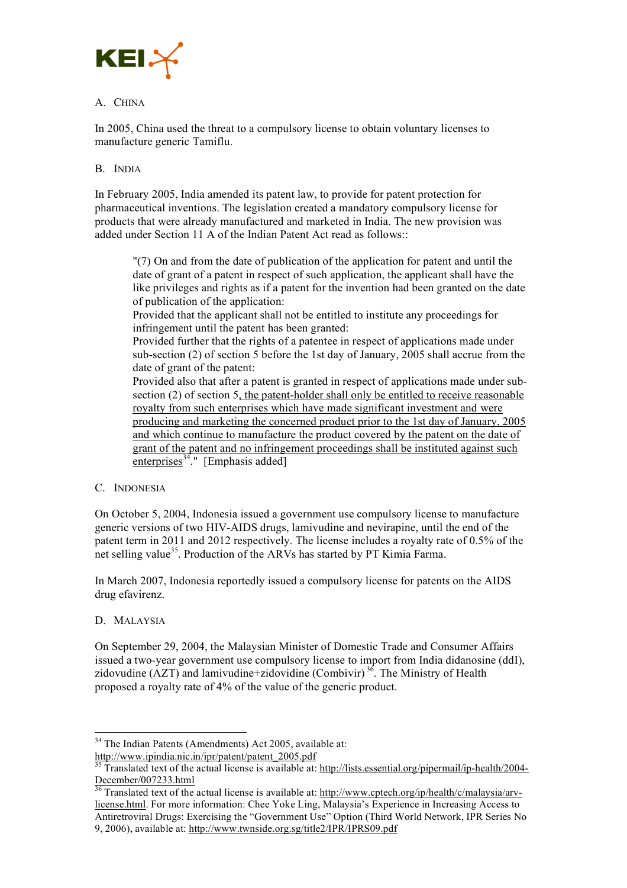

## A. CHINA

In 2005, China used the threat to a compulsory license to obtain voluntary licenses to manufacture generic Tamiflu.

## B. INDIA

In February 2005, India amended its patent law, to provide for patent protection for pharmaceutical inventions. The legislation created a mandatory compulsory license for products that were already manufactured and marketed in India. The new provision was added under Section 11 A of the Indian Patent Act read as follows.

"(7) On and from the date of publication of the application for patent and until the date of grant of a patent in respect of such application, the applicant shall have the like privileges and rights as if a patent for the invention had been granted on the date of publication of the application:

Provided that the applicant shall not be entitled to institute any proceedings for infringement until the patent has been granted:

Provided further that the rights of a patentee in respect of applications made under sub-section (2) of section 5 before the 1st day of January, 2005 shall accrue from the date of grant of the patent:

Provided also that after a patent is granted in respect of applications made under subsection (2) of section 5, the patent-holder shall only be entitled to receive reasonable royalty from such enterprises which have made significant investment and were producing and marketing the concerned product prior to the 1st day of January, 2005 and which continue to manufacture the product covered by the patent on the date of grant of the patent and no infringement proceedings shall be instituted against such  $enterprises<sup>34</sup>$ ." [Emphasis added]

#### C. INDONESIA

On October 5, 2004, Indonesia issued a government use compulsory license to manufacture generic versions of two HIV-AIDS drugs, lamivudine and nevirapine, until the end of the patent term in 2011 and 2012 respectively. The license includes a royalty rate of 0.5% of the net selling value<sup>35</sup>. Production of the ARVs has started by PT Kimia Farma.

In March 2007, Indonesia reportedly issued a compulsory license for patents on the AIDS drug efavirenz.

#### D. MALAYSIA

On September 29, 2004, the Malaysian Minister of Domestic Trade and Consumer Affairs issued a two-year government use compulsory license to import from India didanosine (ddI), zidovudine (AZT) and lamivudine+zidovidine (Combivir)<sup>36</sup>. The Ministry of Health proposed a royalty rate of 4% of the value of the generic product.

 <sup>34</sup> The Indian Patents (Amendments) Act 2005, available at:

http://www.ipindia.nic.in/ipr/patent/patent\_2005.pdf<br><sup>35</sup> Translated text of the actual license is available at: http://lists.essential.org/pipermail/ip-health/2004-December/007233.html<br><sup>36</sup> Translated text of the actual license is available at: http://www.cptech.org/ip/health/c/malaysia/arv-

license.html. For more information: Chee Yoke Ling, Malaysia's Experience in Increasing Access to Antiretroviral Drugs: Exercising the "Government Use" Option (Third World Network, IPR Series No 9, 2006), available at: http://www.twnside.org.sg/title2/IPR/IPRS09.pdf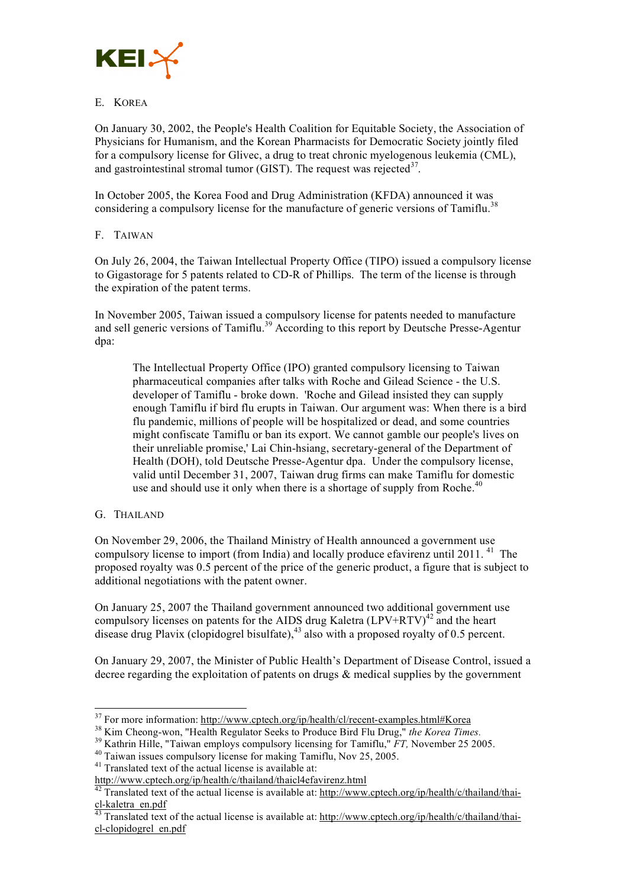

## E. KOREA

On January 30, 2002, the People's Health Coalition for Equitable Society, the Association of Physicians for Humanism, and the Korean Pharmacists for Democratic Society jointly filed for a compulsory license for Glivec, a drug to treat chronic myelogenous leukemia (CML), and gastrointestinal stromal tumor (GIST). The request was rejected $3^7$ .

In October 2005, the Korea Food and Drug Administration (KFDA) announced it was considering a compulsory license for the manufacture of generic versions of Tamiflu.<sup>38</sup>

## F. TAIWAN

On July 26, 2004, the Taiwan Intellectual Property Office (TIPO) issued a compulsory license to Gigastorage for 5 patents related to CD-R of Phillips. The term of the license is through the expiration of the patent terms.

In November 2005, Taiwan issued a compulsory license for patents needed to manufacture and sell generic versions of Tamiflu.<sup>39</sup> According to this report by Deutsche Presse-Agentur dpa:

The Intellectual Property Office (IPO) granted compulsory licensing to Taiwan pharmaceutical companies after talks with Roche and Gilead Science - the U.S. developer of Tamiflu - broke down. 'Roche and Gilead insisted they can supply enough Tamiflu if bird flu erupts in Taiwan. Our argument was: When there is a bird flu pandemic, millions of people will be hospitalized or dead, and some countries might confiscate Tamiflu or ban its export. We cannot gamble our people's lives on their unreliable promise,' Lai Chin-hsiang, secretary-general of the Department of Health (DOH), told Deutsche Presse-Agentur dpa. Under the compulsory license, valid until December 31, 2007, Taiwan drug firms can make Tamiflu for domestic use and should use it only when there is a shortage of supply from Roche.<sup>40</sup>

## G. THAILAND

On November 29, 2006, the Thailand Ministry of Health announced a government use compulsory license to import (from India) and locally produce efavirenz until 2011.<sup>41</sup> The proposed royalty was 0.5 percent of the price of the generic product, a figure that is subject to additional negotiations with the patent owner.

On January 25, 2007 the Thailand government announced two additional government use compulsory licenses on patents for the AIDS drug Kaletra  $(LPV+RTV)^{42}$  and the heart disease drug Plavix (clopidogrel bisulfate), <sup>43</sup> also with a proposed royalty of 0.5 percent.

On January 29, 2007, the Minister of Public Health's Department of Disease Control, issued a decree regarding the exploitation of patents on drugs  $\&$  medical supplies by the government

<sup>&</sup>lt;sup>37</sup> For more information: <u>http://www.cptech.org/ip/health/cl/recent-examples.html#Korea</u><br><sup>38</sup> Kim Cheong-won, "Health Regulator Seeks to Produce Bird Flu Drug," *the Korea Times.*<br><sup>39</sup> Kathrin Hille, "Taiwan employs com

 $\frac{d^2T}{dt^2}$ Translated text of the actual license is available at: http://www.cptech.org/ip/health/c/thailand/thai-<br>cl-kaletra\_en.pdf<br> $\frac{d^3T}{dt^3}$ 

Translated text of the actual license is available at: http://www.cptech.org/ip/health/c/thailand/thaicl-clopidogrel\_en.pdf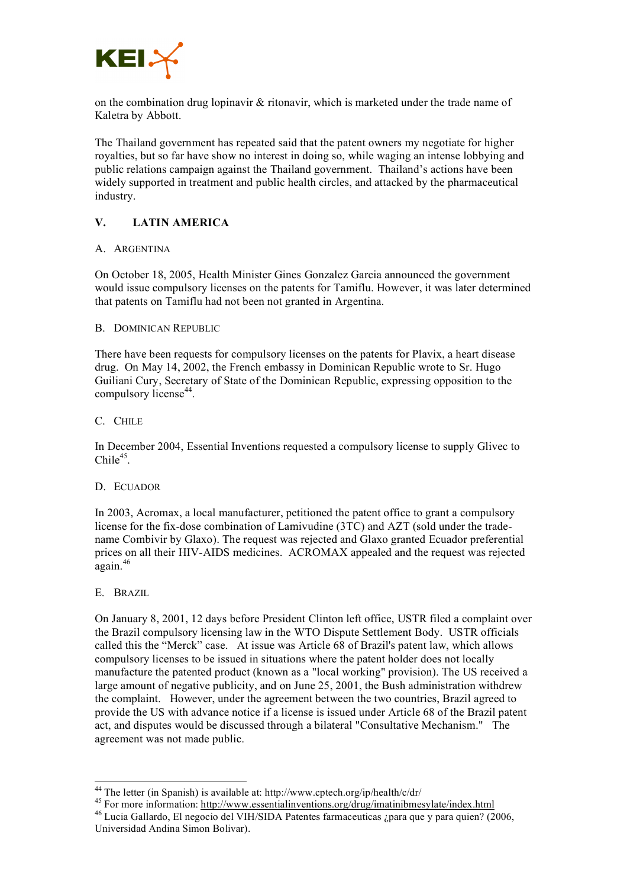

on the combination drug lopinavir  $\&$  ritonavir, which is marketed under the trade name of Kaletra by Abbott.

The Thailand government has repeated said that the patent owners my negotiate for higher royalties, but so far have show no interest in doing so, while waging an intense lobbying and public relations campaign against the Thailand government. Thailand's actions have been widely supported in treatment and public health circles, and attacked by the pharmaceutical industry.

## **V. LATIN AMERICA**

#### A. ARGENTINA

On October 18, 2005, Health Minister Gines Gonzalez Garcia announced the government would issue compulsory licenses on the patents for Tamiflu. However, it was later determined that patents on Tamiflu had not been not granted in Argentina.

#### B. DOMINICAN REPUBLIC

There have been requests for compulsory licenses on the patents for Plavix, a heart disease drug. On May 14, 2002, the French embassy in Dominican Republic wrote to Sr. Hugo Guiliani Cury, Secretary of State of the Dominican Republic, expressing opposition to the compulsory license<sup>44</sup>.

#### C. CHILE

In December 2004, Essential Inventions requested a compulsory license to supply Glivec to Chile<sup>45</sup>.

#### D. ECUADOR

In 2003, Acromax, a local manufacturer, petitioned the patent office to grant a compulsory license for the fix-dose combination of Lamivudine (3TC) and AZT (sold under the tradename Combivir by Glaxo). The request was rejected and Glaxo granted Ecuador preferential prices on all their HIV-AIDS medicines. ACROMAX appealed and the request was rejected again. 46

E. BRAZIL

On January 8, 2001, 12 days before President Clinton left office, USTR filed a complaint over the Brazil compulsory licensing law in the WTO Dispute Settlement Body. USTR officials called this the "Merck" case. At issue was Article 68 of Brazil's patent law, which allows compulsory licenses to be issued in situations where the patent holder does not locally manufacture the patented product (known as a "local working" provision). The US received a large amount of negative publicity, and on June 25, 2001, the Bush administration withdrew the complaint. However, under the agreement between the two countries, Brazil agreed to provide the US with advance notice if a license is issued under Article 68 of the Brazil patent act, and disputes would be discussed through a bilateral "Consultative Mechanism." The agreement was not made public.

<sup>&</sup>lt;sup>44</sup> The letter (in Spanish) is available at: http://www.cptech.org/ip/health/c/dr/<br><sup>45</sup> For more information: http://www.essentialinventions.org/drug/imatinibmesylate/index.html<br><sup>46</sup> Lucia Gallardo, El negocio del VIH/SI Universidad Andina Simon Bolivar).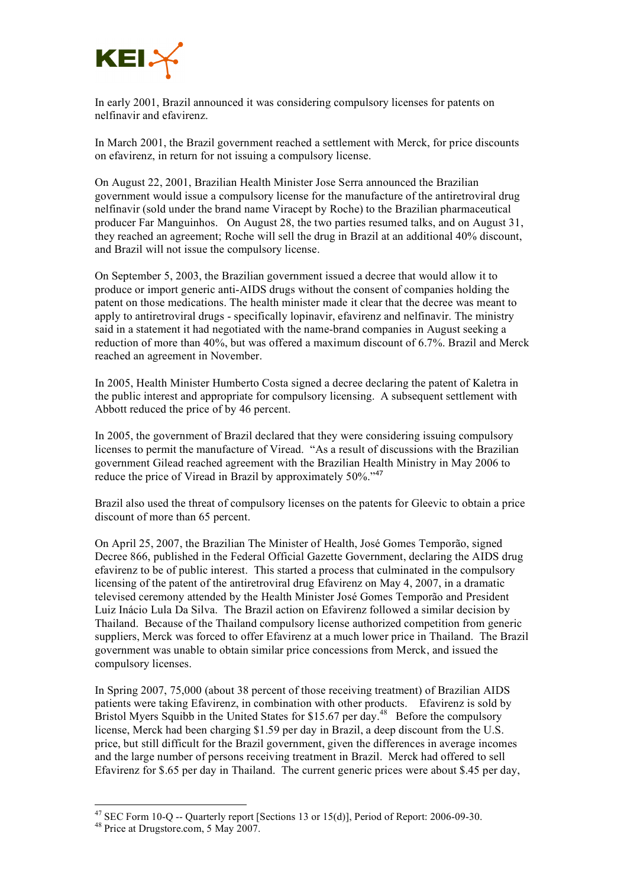

In early 2001, Brazil announced it was considering compulsory licenses for patents on nelfinavir and efavirenz.

In March 2001, the Brazil government reached a settlement with Merck, for price discounts on efavirenz, in return for not issuing a compulsory license.

On August 22, 2001, Brazilian Health Minister Jose Serra announced the Brazilian government would issue a compulsory license for the manufacture of the antiretroviral drug nelfinavir (sold under the brand name Viracept by Roche) to the Brazilian pharmaceutical producer Far Manguinhos. On August 28, the two parties resumed talks, and on August 31, they reached an agreement; Roche will sell the drug in Brazil at an additional 40% discount, and Brazil will not issue the compulsory license.

On September 5, 2003, the Brazilian government issued a decree that would allow it to produce or import generic anti-AIDS drugs without the consent of companies holding the patent on those medications. The health minister made it clear that the decree was meant to apply to antiretroviral drugs - specifically lopinavir, efavirenz and nelfinavir. The ministry said in a statement it had negotiated with the name-brand companies in August seeking a reduction of more than 40%, but was offered a maximum discount of 6.7%. Brazil and Merck reached an agreement in November.

In 2005, Health Minister Humberto Costa signed a decree declaring the patent of Kaletra in the public interest and appropriate for compulsory licensing. A subsequent settlement with Abbott reduced the price of by 46 percent.

In 2005, the government of Brazil declared that they were considering issuing compulsory licenses to permit the manufacture of Viread. "As a result of discussions with the Brazilian government Gilead reached agreement with the Brazilian Health Ministry in May 2006 to reduce the price of Viread in Brazil by approximately 50%."<sup>47</sup>

Brazil also used the threat of compulsory licenses on the patents for Gleevic to obtain a price discount of more than 65 percent.

On April 25, 2007, the Brazilian The Minister of Health, José Gomes Temporão, signed Decree 866, published in the Federal Official Gazette Government, declaring the AIDS drug efavirenz to be of public interest. This started a process that culminated in the compulsory licensing of the patent of the antiretroviral drug Efavirenz on May 4, 2007, in a dramatic televised ceremony attended by the Health Minister José Gomes Temporão and President Luiz Inácio Lula Da Silva. The Brazil action on Efavirenz followed a similar decision by Thailand. Because of the Thailand compulsory license authorized competition from generic suppliers, Merck was forced to offer Efavirenz at a much lower price in Thailand. The Brazil government was unable to obtain similar price concessions from Merck, and issued the compulsory licenses.

In Spring 2007, 75,000 (about 38 percent of those receiving treatment) of Brazilian AIDS patients were taking Efavirenz, in combination with other products. Efavirenz is sold by Bristol Myers Squibb in the United States for \$15.67 per day.<sup>48</sup> Before the compulsory license, Merck had been charging \$1.59 per day in Brazil, a deep discount from the U.S. price, but still difficult for the Brazil government, given the differences in average incomes and the large number of persons receiving treatment in Brazil. Merck had offered to sell Efavirenz for \$.65 per day in Thailand. The current generic prices were about \$.45 per day,

<sup>&</sup>lt;sup>47</sup> SEC Form 10-Q -- Quarterly report [Sections 13 or 15(d)], Period of Report: 2006-09-30.<br><sup>48</sup> Price at Drugstore.com, 5 May 2007.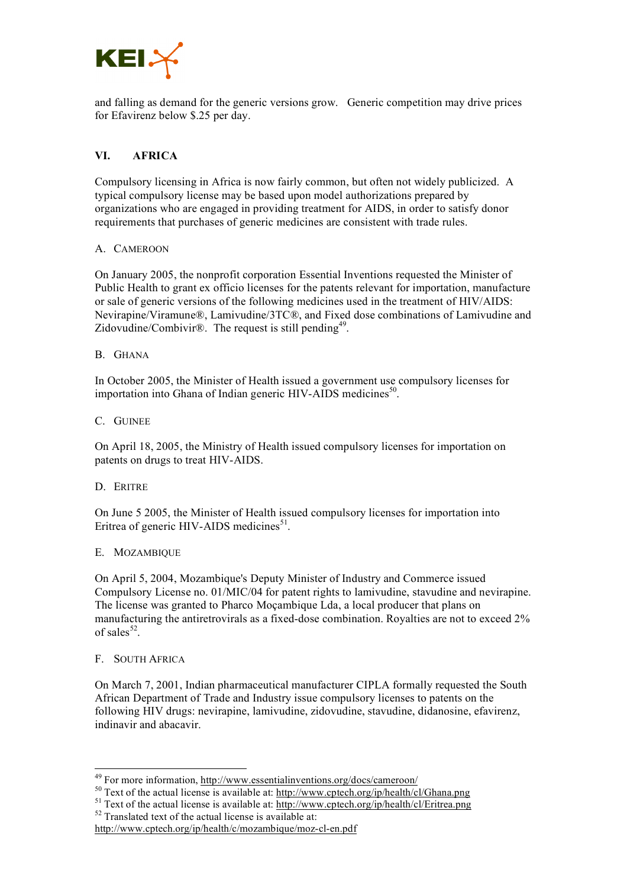

and falling as demand for the generic versions grow. Generic competition may drive prices for Efavirenz below \$.25 per day.

## **VI. AFRICA**

Compulsory licensing in Africa is now fairly common, but often not widely publicized. A typical compulsory license may be based upon model authorizations prepared by organizations who are engaged in providing treatment for AIDS, in order to satisfy donor requirements that purchases of generic medicines are consistent with trade rules.

#### A. CAMEROON

On January 2005, the nonprofit corporation Essential Inventions requested the Minister of Public Health to grant ex officio licenses for the patents relevant for importation, manufacture or sale of generic versions of the following medicines used in the treatment of HIV/AIDS: Nevirapine/Viramune®, Lamivudine/3TC®, and Fixed dose combinations of Lamivudine and Zidovudine/Combivir®. The request is still pending<sup>49</sup>.

#### B. GHANA

In October 2005, the Minister of Health issued a government use compulsory licenses for importation into Ghana of Indian generic HIV-AIDS medicines<sup>50</sup>.

#### C. GUINEE

On April 18, 2005, the Ministry of Health issued compulsory licenses for importation on patents on drugs to treat HIV-AIDS.

#### D. ERITRE

On June 5 2005, the Minister of Health issued compulsory licenses for importation into Eritrea of generic HIV-AIDS medicines<sup>51</sup>.

#### E. MOZAMBIQUE

On April 5, 2004, Mozambique's Deputy Minister of Industry and Commerce issued Compulsory License no. 01/MIC/04 for patent rights to lamivudine, stavudine and nevirapine. The license was granted to Pharco Moçambique Lda, a local producer that plans on manufacturing the antiretrovirals as a fixed-dose combination. Royalties are not to exceed 2% of sales $52$ .

#### F. SOUTH AFRICA

On March 7, 2001, Indian pharmaceutical manufacturer CIPLA formally requested the South African Department of Trade and Industry issue compulsory licenses to patents on the following HIV drugs: nevirapine, lamivudine, zidovudine, stavudine, didanosine, efavirenz, indinavir and abacavir.

<sup>&</sup>lt;sup>49</sup> For more information, <u>http://www.essentialinventions.org/docs/cameroon/</u><br><sup>50</sup> Text of the actual license is available at: <u>http://www.cptech.org/ip/health/cl/Ghana.png</u><br><sup>51</sup> Text of the actual license is available a

http://www.cptech.org/ip/health/c/mozambique/moz-cl-en.pdf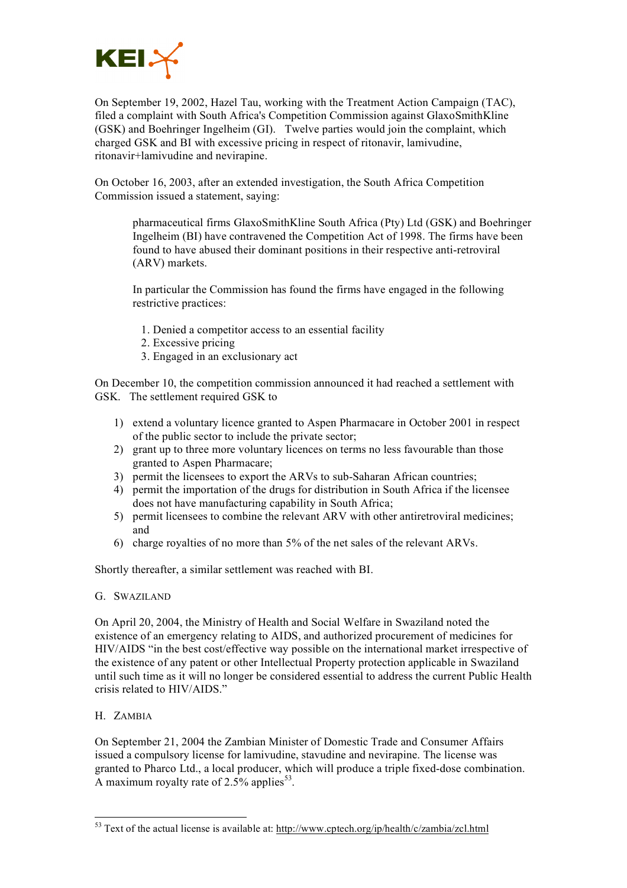

On September 19, 2002, Hazel Tau, working with the Treatment Action Campaign (TAC), filed a complaint with South Africa's Competition Commission against GlaxoSmithKline (GSK) and Boehringer Ingelheim (GI). Twelve parties would join the complaint, which charged GSK and BI with excessive pricing in respect of ritonavir, lamivudine, ritonavir+lamivudine and nevirapine.

On October 16, 2003, after an extended investigation, the South Africa Competition Commission issued a statement, saying:

pharmaceutical firms GlaxoSmithKline South Africa (Pty) Ltd (GSK) and Boehringer Ingelheim (BI) have contravened the Competition Act of 1998. The firms have been found to have abused their dominant positions in their respective anti-retroviral (ARV) markets.

In particular the Commission has found the firms have engaged in the following restrictive practices:

- 1. Denied a competitor access to an essential facility
- 2. Excessive pricing
- 3. Engaged in an exclusionary act

On December 10, the competition commission announced it had reached a settlement with GSK. The settlement required GSK to

- 1) extend a voluntary licence granted to Aspen Pharmacare in October 2001 in respect of the public sector to include the private sector;
- 2) grant up to three more voluntary licences on terms no less favourable than those granted to Aspen Pharmacare;
- 3) permit the licensees to export the ARVs to sub-Saharan African countries;
- 4) permit the importation of the drugs for distribution in South Africa if the licensee does not have manufacturing capability in South Africa;
- 5) permit licensees to combine the relevant ARV with other antiretroviral medicines; and
- 6) charge royalties of no more than 5% of the net sales of the relevant ARVs.

Shortly thereafter, a similar settlement was reached with BI.

#### G. SWAZILAND

On April 20, 2004, the Ministry of Health and Social Welfare in Swaziland noted the existence of an emergency relating to AIDS, and authorized procurement of medicines for HIV/AIDS "in the best cost/effective way possible on the international market irrespective of the existence of any patent or other Intellectual Property protection applicable in Swaziland until such time as it will no longer be considered essential to address the current Public Health crisis related to HIV/AIDS."

H. ZAMBIA

On September 21, 2004 the Zambian Minister of Domestic Trade and Consumer Affairs issued a compulsory license for lamivudine, stavudine and nevirapine. The license was granted to Pharco Ltd., a local producer, which will produce a triple fixed-dose combination. A maximum royalty rate of  $2.5\%$  applies<sup>53</sup>.

<sup>&</sup>lt;sup>53</sup> Text of the actual license is available at: http://www.cptech.org/ip/health/c/zambia/zcl.html